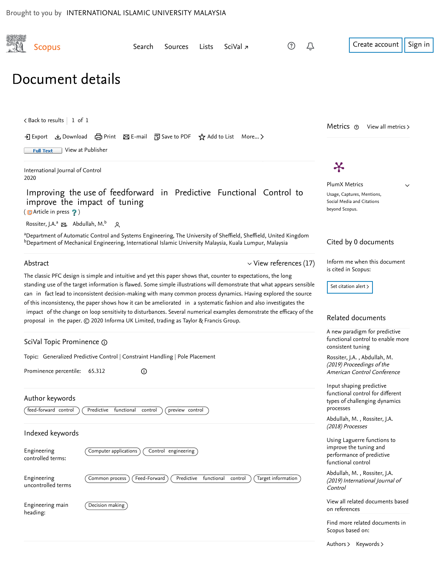<span id="page-0-1"></span><span id="page-0-0"></span>

| Scopus                                                                                                             | Search                                                                                                                                                                                                                                                                                                                                                                                                                                                                                                                                                                                                                                                                                             | Sources                    | Lists      | SciVal <sub>7</sub> |                             |                                                                                          | Create account<br>Sign in                                                                                          |  |
|--------------------------------------------------------------------------------------------------------------------|----------------------------------------------------------------------------------------------------------------------------------------------------------------------------------------------------------------------------------------------------------------------------------------------------------------------------------------------------------------------------------------------------------------------------------------------------------------------------------------------------------------------------------------------------------------------------------------------------------------------------------------------------------------------------------------------------|----------------------------|------------|---------------------|-----------------------------|------------------------------------------------------------------------------------------|--------------------------------------------------------------------------------------------------------------------|--|
| Document details                                                                                                   |                                                                                                                                                                                                                                                                                                                                                                                                                                                                                                                                                                                                                                                                                                    |                            |            |                     |                             |                                                                                          |                                                                                                                    |  |
| $\lt$ Back to results   1 of 1                                                                                     |                                                                                                                                                                                                                                                                                                                                                                                                                                                                                                                                                                                                                                                                                                    |                            |            |                     |                             |                                                                                          | Metrics $\odot$<br>View all metrics >                                                                              |  |
|                                                                                                                    | → Export と Download (금 Print ⊠ E-mail 및 Save to PDF ☆ Add to List More >                                                                                                                                                                                                                                                                                                                                                                                                                                                                                                                                                                                                                           |                            |            |                     |                             |                                                                                          |                                                                                                                    |  |
| <b>Full Text</b>                                                                                                   | View at Publisher                                                                                                                                                                                                                                                                                                                                                                                                                                                                                                                                                                                                                                                                                  |                            |            |                     |                             |                                                                                          |                                                                                                                    |  |
| International Journal of Control<br>2020                                                                           |                                                                                                                                                                                                                                                                                                                                                                                                                                                                                                                                                                                                                                                                                                    |                            |            |                     |                             |                                                                                          | $\boldsymbol{\nparallel}$                                                                                          |  |
| (ip Article in press ?)                                                                                            | Improving the use of feedforward in Predictive Functional Control to<br>improve the impact of tuning                                                                                                                                                                                                                                                                                                                                                                                                                                                                                                                                                                                               |                            |            |                     |                             |                                                                                          | <b>PlumX Metrics</b><br>$\checkmark$<br>Usage, Captures, Mentions,<br>Social Media and Citations<br>beyond Scopus. |  |
| Rossiter, J.A. <sup>a</sup> $\boxtimes$ , Abdullah, M. <sup>b</sup>                                                | $\sim$                                                                                                                                                                                                                                                                                                                                                                                                                                                                                                                                                                                                                                                                                             |                            |            |                     |                             |                                                                                          |                                                                                                                    |  |
|                                                                                                                    | aDepartment of Automatic Control and Systems Engineering, The University of Sheffield, Sheffield, United Kingdom<br><sup>b</sup> Department of Mechanical Engineering, International Islamic University Malaysia, Kuala Lumpur, Malaysia                                                                                                                                                                                                                                                                                                                                                                                                                                                           |                            |            |                     |                             |                                                                                          | Cited by 0 documents                                                                                               |  |
| Abstract                                                                                                           |                                                                                                                                                                                                                                                                                                                                                                                                                                                                                                                                                                                                                                                                                                    |                            |            |                     | $\vee$ View references (17) |                                                                                          | Inform me when this document                                                                                       |  |
|                                                                                                                    | The classic PFC design is simple and intuitive and yet this paper shows that, counter to expectations, the long<br>standing use of the target information is flawed. Some simple illustrations will demonstrate that what appears sensible<br>can in fact lead to inconsistent decision-making with many common process dynamics. Having explored the source<br>of this inconsistency, the paper shows how it can be ameliorated in a systematic fashion and also investigates the<br>impact of the change on loop sensitivity to disturbances. Several numerical examples demonstrate the efficacy of the<br>proposal in the paper. © 2020 Informa UK Limited, trading as Taylor & Francis Group. |                            |            |                     |                             |                                                                                          | is cited in Scopus:<br>Set citation alert ><br>Related documents                                                   |  |
| SciVal Topic Prominence @                                                                                          |                                                                                                                                                                                                                                                                                                                                                                                                                                                                                                                                                                                                                                                                                                    |                            |            |                     |                             | A new paradigm for predictive<br>functional control to enable more<br>consistent tuning  |                                                                                                                    |  |
| Topic: Generalized Predictive Control   Constraint Handling   Pole Placement<br>Prominence percentile: 65.312<br>⊙ |                                                                                                                                                                                                                                                                                                                                                                                                                                                                                                                                                                                                                                                                                                    |                            |            |                     |                             | Rossiter, J.A., Abdullah, M.<br>(2019) Proceedings of the<br>American Control Conference |                                                                                                                    |  |
| Author keywords<br>feed-forward control<br>Predictive functional control<br>preview control                        |                                                                                                                                                                                                                                                                                                                                                                                                                                                                                                                                                                                                                                                                                                    |                            |            |                     |                             |                                                                                          | Input shaping predictive<br>functional control for different<br>types of challenging dynamics<br>processes         |  |
|                                                                                                                    |                                                                                                                                                                                                                                                                                                                                                                                                                                                                                                                                                                                                                                                                                                    |                            |            |                     |                             |                                                                                          | Abdullah, M., Rossiter, J.A.<br>(2018) Processes                                                                   |  |
| Indexed keywords<br>Engineering<br>controlled terms:                                                               | Computer applications                                                                                                                                                                                                                                                                                                                                                                                                                                                                                                                                                                                                                                                                              | Control engineering        |            |                     |                             |                                                                                          | Using Laguerre functions to<br>improve the tuning and<br>performance of predictive<br>functional control           |  |
| Engineering<br>uncontrolled terms                                                                                  | Common process                                                                                                                                                                                                                                                                                                                                                                                                                                                                                                                                                                                                                                                                                     | Feed-Forward<br>Predictive | functional | control             | Target information          |                                                                                          | Abdullah, M., Rossiter, J.A.<br>(2019) International Journal of<br>Control                                         |  |
| Engineering main<br>heading:                                                                                       | Decision making                                                                                                                                                                                                                                                                                                                                                                                                                                                                                                                                                                                                                                                                                    |                            |            |                     |                             |                                                                                          | View all related documents based<br>on references                                                                  |  |
|                                                                                                                    |                                                                                                                                                                                                                                                                                                                                                                                                                                                                                                                                                                                                                                                                                                    |                            |            |                     |                             |                                                                                          | Find more related documents in<br>Scopus based on:                                                                 |  |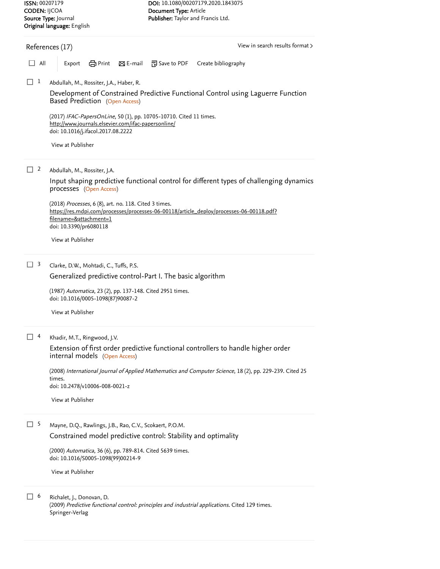Springer-Verlag

<span id="page-1-0"></span>

| <b>CODEN:</b> IJCOA                                | Source Type: Journal<br>Original language: English                                                                                                              | Document Type: Article<br>Publisher: Taylor and Francis Ltd. |                     |  |  |  |  |
|----------------------------------------------------|-----------------------------------------------------------------------------------------------------------------------------------------------------------------|--------------------------------------------------------------|---------------------|--|--|--|--|
| View in search results format ><br>References (17) |                                                                                                                                                                 |                                                              |                     |  |  |  |  |
| All                                                | en Print<br>$\boxtimes$ E-mail<br>Export                                                                                                                        | <sup>79</sup> Save to PDF                                    | Create bibliography |  |  |  |  |
| 1<br>l I                                           | Abdullah, M., Rossiter, J.A., Haber, R.                                                                                                                         |                                                              |                     |  |  |  |  |
|                                                    | Development of Constrained Predictive Functional Control using Laguerre Function<br>Based Prediction (Open Access)                                              |                                                              |                     |  |  |  |  |
|                                                    | (2017) IFAC-PapersOnLine, 50 (1), pp. 10705-10710. Cited 11 times.<br>http://www.journals.elsevier.com/ifac-papersonline/<br>doi: 10.1016/j.ifacol.2017.08.2222 |                                                              |                     |  |  |  |  |
|                                                    | View at Publisher                                                                                                                                               |                                                              |                     |  |  |  |  |
| 2<br>- 1                                           | Abdullah, M., Rossiter, J.A.                                                                                                                                    |                                                              |                     |  |  |  |  |
|                                                    | Input shaping predictive functional control for different types of challenging dynamics<br>processes (Open Access)                                              |                                                              |                     |  |  |  |  |
|                                                    | (2018) Processes, 6 (8), art. no. 118. Cited 3 times.                                                                                                           |                                                              |                     |  |  |  |  |
|                                                    | https://res.mdpi.com/processes/processes-06-00118/article_deploy/processes-06-00118.pdf?<br>filename=&attachment=1<br>doi: 10.3390/pr6080118                    |                                                              |                     |  |  |  |  |
|                                                    | View at Publisher                                                                                                                                               |                                                              |                     |  |  |  |  |
| 3<br>H                                             | Clarke, D.W., Mohtadi, C., Tuffs, P.S.                                                                                                                          |                                                              |                     |  |  |  |  |
|                                                    | Generalized predictive control-Part I. The basic algorithm                                                                                                      |                                                              |                     |  |  |  |  |
|                                                    | (1987) Automatica, 23 (2), pp. 137-148. Cited 2951 times.<br>doi: 10.1016/0005-1098(87)90087-2                                                                  |                                                              |                     |  |  |  |  |
|                                                    | View at Publisher                                                                                                                                               |                                                              |                     |  |  |  |  |
| 4                                                  | Khadir, M.T., Ringwood, J.V.                                                                                                                                    |                                                              |                     |  |  |  |  |
|                                                    | Extension of first order predictive functional controllers to handle higher order<br>internal models (Open Access)                                              |                                                              |                     |  |  |  |  |
|                                                    | (2008) International Journal of Applied Mathematics and Computer Science, 18 (2), pp. 229-239. Cited 25<br>times.                                               |                                                              |                     |  |  |  |  |
|                                                    | doi: 10.2478/v10006-008-0021-z                                                                                                                                  |                                                              |                     |  |  |  |  |
|                                                    | View at Publisher                                                                                                                                               |                                                              |                     |  |  |  |  |
| $\Box$ 5                                           | Mayne, D.Q., Rawlings, J.B., Rao, C.V., Scokaert, P.O.M.                                                                                                        |                                                              |                     |  |  |  |  |
|                                                    | Constrained model predictive control: Stability and optimality                                                                                                  |                                                              |                     |  |  |  |  |
|                                                    | (2000) Automatica, 36 (6), pp. 789-814. Cited 5639 times.<br>doi: 10.1016/S0005-1098(99)00214-9                                                                 |                                                              |                     |  |  |  |  |
|                                                    | View at Publisher                                                                                                                                               |                                                              |                     |  |  |  |  |
| 6<br>л.                                            | Richalet, J., Donovan, D.<br>(2009) Predictive functional control: principles and industrial applications. Cited 129 times.                                     |                                                              |                     |  |  |  |  |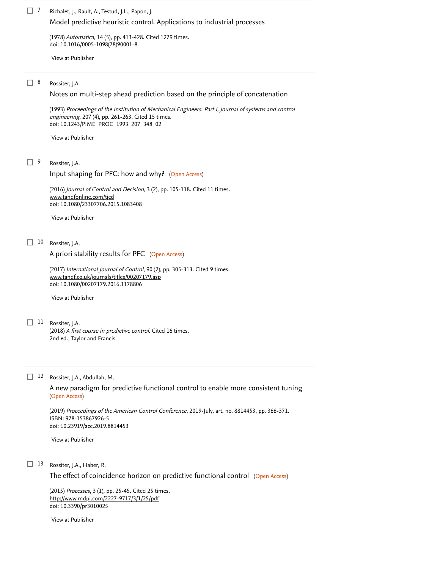Richalet, J., Rault, A., Testud, J.L., Papon, J.  $\Box$  7

[Model predictive heuristic control. Applications to industrial processes](https://www.scopus.com/record/display.uri?eid=2-s2.0-0018015327&origin=reflist&sort=plf-f&src=s&st1=Improving+the+use+of+feedforward+in+Predictive+Functional+Control+to+improve+the+impact+of+tuning&st2=&sid=e9fb38e52d166f3e9802c286be9699a3&sot=b&sdt=b&sl=112&s=TITLE-ABS-KEY%28Improving+the+use+of+feedforward+in+Predictive+Functional+Control+to+improve+the+impact+of+tuning%29)

(1978) *Automatica*, 14 (5), pp. 413-428. [Cited 1279 times](https://www.scopus.com/search/submit/citedby.uri?eid=2-s2.0-85096287499&refeid=2-s2.0-0018015327&src=s&origin=reflist&refstat=core). doi: 10.1016/0005-1098(78)90001-8

[View at Publisher](https://www.scopus.com/redirect/linking.uri?targetURL=https%3a%2f%2fdoi.org%2f10.1016%2f0005-1098%2878%2990001-8&locationID=3&categoryID=4&eid=2-s2.0-0018015327&issn=00051098&linkType=ViewAtPublisher&year=1978&origin=reflist&dig=34e89ed2fcd512e19ee063da4a8cdac4)

Rossiter, J.A. 8

[Notes on multi-step ahead prediction based on the principle of concatenation](https://www.scopus.com/record/display.uri?eid=2-s2.0-0027851927&origin=reflist&sort=plf-f&src=s&st1=Improving+the+use+of+feedforward+in+Predictive+Functional+Control+to+improve+the+impact+of+tuning&st2=&sid=e9fb38e52d166f3e9802c286be9699a3&sot=b&sdt=b&sl=112&s=TITLE-ABS-KEY%28Improving+the+use+of+feedforward+in+Predictive+Functional+Control+to+improve+the+impact+of+tuning%29)

(1993) Proceedings of the Institution of Mechanical Engineers. Part I, Journal of systems and control engineering, 207 (4), pp. 261-263. [Cited 15 times](https://www.scopus.com/search/submit/citedby.uri?eid=2-s2.0-85096287499&refeid=2-s2.0-0027851927&src=s&origin=reflist&refstat=core). doi: 10.1243/PIME\_PROC\_1993\_207\_348\_02

[View at Publisher](https://www.scopus.com/redirect/linking.uri?targetURL=https%3a%2f%2fdoi.org%2f10.1243%2fPIME_PROC_1993_207_348_02&locationID=3&categoryID=4&eid=2-s2.0-0027851927&issn=09596518&linkType=ViewAtPublisher&year=1993&origin=reflist&dig=758ee0d43d4267d1218c518fc24ab826)

Rossiter, J.A. 9

[Input shaping for PFC: how and why?](https://www.scopus.com/record/display.uri?eid=2-s2.0-85032430840&origin=reflist&sort=plf-f&src=s&st1=Improving+the+use+of+feedforward+in+Predictive+Functional+Control+to+improve+the+impact+of+tuning&st2=&sid=e9fb38e52d166f3e9802c286be9699a3&sot=b&sdt=b&sl=112&s=TITLE-ABS-KEY%28Improving+the+use+of+feedforward+in+Predictive+Functional+Control+to+improve+the+impact+of+tuning%29) (Open Access)

(2016) *Journal of Control and Decision*, 3 (2), pp. 105-118. [Cited 11 times](https://www.scopus.com/search/submit/citedby.uri?eid=2-s2.0-85096287499&refeid=2-s2.0-85032430840&src=s&origin=reflist&refstat=core). doi: 10.1080/23307706.2015.1083408 [www.tandfonline.com/tjcd](https://www.scopus.com/record/www.tandfonline.com/tjcd)

[View at Publisher](https://www.scopus.com/redirect/linking.uri?targetURL=https%3a%2f%2fdoi.org%2f10.1080%2f23307706.2015.1083408&locationID=3&categoryID=4&eid=2-s2.0-85032430840&issn=23307714&linkType=ViewAtPublisher&year=2016&origin=reflist&dig=172dfd683d083b8ddbeacb958be5c76e)

10 Rossiter, J.A.

[A priori stability results for PFC](https://www.scopus.com/record/display.uri?eid=2-s2.0-84969749363&origin=reflist&sort=plf-f&src=s&st1=Improving+the+use+of+feedforward+in+Predictive+Functional+Control+to+improve+the+impact+of+tuning&st2=&sid=e9fb38e52d166f3e9802c286be9699a3&sot=b&sdt=b&sl=112&s=TITLE-ABS-KEY%28Improving+the+use+of+feedforward+in+Predictive+Functional+Control+to+improve+the+impact+of+tuning%29) (Open Access)

(2017) *International Journal of Control*, 90 (2), pp. 305-313. [Cited 9 times](https://www.scopus.com/search/submit/citedby.uri?eid=2-s2.0-85096287499&refeid=2-s2.0-84969749363&src=s&origin=reflist&refstat=core). doi: 10.1080/00207179.2016.1178806 [www.tandf.co.uk/journals/titles/00207179.asp](https://www.scopus.com/record/www.tandf.co.uk/journals/titles/00207179.asp)

[View at Publisher](https://www.scopus.com/redirect/linking.uri?targetURL=https%3a%2f%2fdoi.org%2f10.1080%2f00207179.2016.1178806&locationID=3&categoryID=4&eid=2-s2.0-84969749363&issn=13665820&linkType=ViewAtPublisher&year=2017&origin=reflist&dig=7e5351f04d349463ee7a29f8321e3501)

11 Rossiter, J.A.

(2018) *A first course in predictive control*. [Cited 16 times](https://www.scopus.com/search/submit/citedby.uri?eid=2-s2.0-85096287499&refeid=2-s2.0-85051759676&src=s&origin=reflist&refstat=dummy). 2nd ed., Taylor and Francis

12 Rossiter, J.A., Abdullah, M.

(Open Access) [A new paradigm for predictive functional control to enable more consistent tuning](https://www.scopus.com/record/display.uri?eid=2-s2.0-85072269068&origin=reflist&sort=plf-f&src=s&st1=Improving+the+use+of+feedforward+in+Predictive+Functional+Control+to+improve+the+impact+of+tuning&st2=&sid=e9fb38e52d166f3e9802c286be9699a3&sot=b&sdt=b&sl=112&s=TITLE-ABS-KEY%28Improving+the+use+of+feedforward+in+Predictive+Functional+Control+to+improve+the+impact+of+tuning%29)

(2019) Proceedings of the American Control Conference, 2019-July, art. no. 8814453, pp. 366-371. ISBN: 978-153867926-5 doi: 10.23919/acc.2019.8814453

[View at Publisher](https://www.scopus.com/redirect/linking.uri?targetURL=https%3a%2f%2fdoi.org%2f10.23919%2facc.2019.8814453&locationID=3&categoryID=4&eid=2-s2.0-85072269068&issn=07431619&linkType=ViewAtPublisher&year=2019&origin=reflist&dig=d66dde2db00966b266023d26c0c0ee49)

13 Rossiter, J.A., Haber, R.

[The effect of coincidence horizon on predictive functional control](https://www.scopus.com/record/display.uri?eid=2-s2.0-84992138988&origin=reflist&sort=plf-f&src=s&st1=Improving+the+use+of+feedforward+in+Predictive+Functional+Control+to+improve+the+impact+of+tuning&st2=&sid=e9fb38e52d166f3e9802c286be9699a3&sot=b&sdt=b&sl=112&s=TITLE-ABS-KEY%28Improving+the+use+of+feedforward+in+Predictive+Functional+Control+to+improve+the+impact+of+tuning%29) (Open Access)

(2015) *Processes*, 3 (1), pp. 25-45. [Cited 25 times](https://www.scopus.com/search/submit/citedby.uri?eid=2-s2.0-85096287499&refeid=2-s2.0-84992138988&src=s&origin=reflist&refstat=core). doi: 10.3390/pr3010025 <http://www.mdpi.com/2227-9717/3/1/25/pdf>

[View at Publisher](https://www.scopus.com/redirect/linking.uri?targetURL=https%3a%2f%2fdoi.org%2f10.3390%2fpr3010025&locationID=3&categoryID=4&eid=2-s2.0-84992138988&issn=22279717&linkType=ViewAtPublisher&year=2015&origin=reflist&dig=44cfa8b44bd686ba6c5dc52649dd9e94)